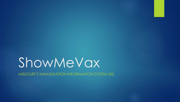# ShowMeVax

MISSOURI'S IMMUNIZATION INFORMATION SYSTEM (IIS)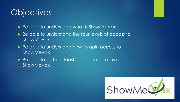### **Objectives**

▶ Be able to understand what is ShowMeVax

- Be able to understand the four levels of access to ShowMeVax
- Be able to understand how to gain access to **ShowMeVax**
- Be able to state at least one benefit for using ShowMeVax

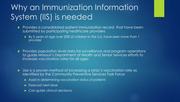# Why an Immunization Information System (IIS) is needed

- **Provides a consolidated patient immunization record that have been** submitted by participating healthcare providers
	- By 2 years of age over 20% of children in the U.S. have seen more than 1 provider

Provides population level data for surveillance and program operations to guide Missouri's Department of Health and Senior Services efforts to increase vaccination rates for all ages

 Use is a proven method of increasing a clinic's vaccination rate as identified by the Community Preventive Services Task Force

- Assist in determining vaccination status of patients
- **Forecast next dose**
- ▶ Can guide clinical decisions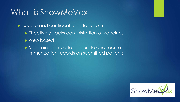### What is ShowMeVax

Secure and confidential data system **Effectively tracks administration of vaccines** Web based

 Maintains complete, accurate and secure immunization records on submitted patients

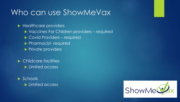### Who can use ShowMeVax

Healthcare providers

- ▶ Vaccines For Children providers required
- ▶ Covid Providers required
- **Pharmacist- required**
- $\blacktriangleright$  Private providers

▶ Childcare facilities **Limited access** 

 $\blacktriangleright$  Schools **Limited access** 

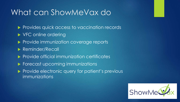### What can ShowMeVax do

- Provides quick access to vaccination records
- ▶ VFC online ordering
- Provide immunization coverage reports
- ▶ Reminder/Recall
- $\blacktriangleright$  Provide official immunization certificates
- **Forecast upcoming immunizations**
- Provide electronic query for patient's previous immunizations

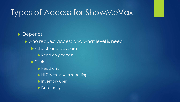### Types of Access for ShowMeVax

Depends who request access and what level is need School and Daycare Read only access **Clinic** Read only HL7 access with reporting **Inventory user** Data entry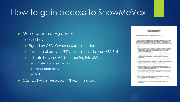### How to gain access to ShowMeVax

#### Memorandum of Agreement

- **Must have**
- Signed by CEO, Owner or Superintendent
- If you are already a VFC provider include your VFC PIN
- $\triangleright$  Indicate how you will be reporting into SMV
	- ▶ HL7 electronic submission
	- Direct data entry
	- $\triangleright$  Both

▶ Contact vfc-smvsupport@health.mo.gov

Missouri's Immunization Registry Memorandum of Agreement

The Missouri Department of Health and Senior Services (DHSS) and

#### (Orrestration Name)

, hereafter referred to as "Organization", enter into this Memorandum of Agreement to set out such party's roles and responsibilities related to the use of DHSS' web-based immunization. registry for manual data erroy or electronic Health Level Seven (HLT) data submission and ntrieval. HL2 is a messaging protocol specifically developed to exchange health medical/patient information between information systems.

#### 1. DHSS agrees to

- A. provide an electronic means for Organization to access the immunization registry. DHSS technical staff will consult with Organization's technical staff to determine the most appropriate traum and will assist Organization when appropriate, and maintain Missouri's immunitation registry;
- B. provide technical assistance through the immunization registry help desk, which can be contacted via a toll-free number, 800.219.3224, from 8.00 AM to 4:30 PM, Memby through Friday (excluding state and federal government holidays):
- C. notify Organization of system impact information through amail, fax or registry announcements:
- D. provide appropriate level of access to the registry to the Organization's staff basedon completed security access forms and required user training.
- E. accept individual immunization record updates via HL7 in either real-time or batchmode;
- F. accept real-time HL7 electronic queries from the Organization to retrieve individual/patient immunization records if and whan the Organization elects to implement real-time interfaces with the registry;
- G. traismit electronically through HL? individual/patient immunization records to Organization based on real-time query parameters if and when the Organization electoto implement real-time interfaces with the registry; and
- H. confirm the interoperability of Organization's system with the regratry for submission of immunication data and for real-time interfaces after HL? message validation testing (if Organization clean to make electronic queries)

#### 2. Organization agrees to:

- A. meet the registry's web-application requirements, including the use of compatible. howser and high speed internet connection;
- B. ensure staff complete the required trainings for their level of access to the registry'swebapplication
- C. instruct staff as to State, Federal, and Organizational confidentiality and security requirementic.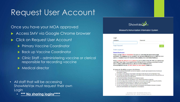### Request User Account

Once you have your MOA approved

- Access SMV via Google Chrome browser
- Click on Request User Account
	- **Primary Vaccine Coordinator**
	- ▶ Back up Vaccine Coordinator
	- ▶ Clinic Staff administering vaccine or clerical responsible for recording vaccine
	- **Medical director**

- All staff that will be accessing ShowMeVax must request their own Login
	- **\*\*\* No sharing logins\*\*\*\***



#### Missouri's Immunization Information System

| Login            |          |      |
|------------------|----------|------|
| Username         | Password |      |
|                  |          |      |
| Forgot Password? |          | Logi |

#### Trouble Logging in?

#### **Request User Account**

Please use the **FORGOT PASSWORD** link prior to contacting the helpdesk for login assistance. The helpdesk can be reached at vfc-smysupport@health.mo.gov or 800.219.3224 option 1. Helpdesk hours M-F 8:30 to 4:30 excluding state and federal holidays.

Please include the PIN that was assigned to your location in the VFC PIN area and include your clinic name. Also if you need to make changes to your existing or previous account such as adding additional locations, please email the helpdesk at vfcsmysupport@health.mo.gov, DO NOT submit an user request, thank you.

#### By logging into ShowMeVax, you agree to the following:

- 1. I am an authorized ShowMeVax user and am logging in using the login assigned to me by the Missouri Immunization Program.
- 2. I will comply with the Missouri Immunization Information System Security and Confidentiality Policy.
- 3. I will carefully and deliberately safeguard my ShowMeVax user ID and password and will not permit the use of my ID and password by any other person.
- 4. I will handle ShowMeVax information in a confidential manner
- 5. I will never release data from ShowMeVax to any unauthorized persons or agencies.
- 6. I will not knowingly enter invalid/false data: falsify any document or data obtained through ShowMeVax.
- 7. I will understand that all transactions are logged and may be subject to audit.
- 8. I will not attempt to copy the database or software used in ShowMeVax.
- 9. I will only use ShowMeVax to access information and generate documentation necessary to properly conduct the administration and management of immunizations.

App Version 21.4.0.0 Recommender Version 1.6.5.0 Copyright @ 2001-2021 Envision Technology Partners Inc.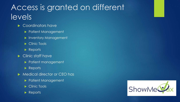# Access is granted on different levels

- Coordinators have
	- **Patient Management**
	- **Inventory Management**
	- Clinic Tools
	- Reports
- Clinic staff have
	- **Patient management**
	- Reports
- Medical director or CEO has
	- Patient Management
	- Clinic Tools
	- Reports

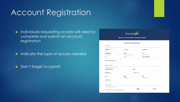### Account Registration

**Individuals requesting access will need to** complete and submit an account registration

Indicate the type of access needed

Don't forget to submit



Missouri's Immunization Information System

**Account Registration** 

| Contact                                     |                           |                |                     |          |
|---------------------------------------------|---------------------------|----------------|---------------------|----------|
| Aniet your custod otherwise.<br>First Name" | Middle Name               |                | Lost Name"          |          |
| Phone Number                                | Email -                   |                | Fax                 |          |
| testimatesma.                               | <b>UNAILIBUOILINE COM</b> |                | <b>SEU HULLISTA</b> |          |
| Role<br>۷                                   | <b>VFC Pm</b>             |                | Access Requested    | $\omega$ |
| Requesting Registrant's NFT.                |                           |                |                     |          |
| Organization                                |                           |                |                     |          |
| Frite yay digestates interalies.            |                           |                |                     |          |
| Organization Name"                          |                           | $7$ /pe $-$    |                     | $\sim$   |
| Address Line 1"                             |                           | Address Line 2 |                     |          |
| City <sup>*</sup>                           | State <sup>+</sup>        |                | Zip-                |          |
| Provider Name                               | MISSOURI                  | w.             | THREE OVER          |          |
| Documents:                                  |                           |                |                     |          |
| forest and houst at desperts.               |                           |                |                     |          |
| ShowMeVax User Agreement                    |                           |                |                     | Riville  |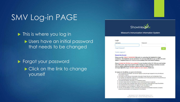### SMV Log-in PAGE

**This is where you log in** Users have an initial password that needs to be changed

**Forgot your password** Click on the link to change yourself



#### Missouri's Immunization Information System

| <b>TAXABLE</b> |          |
|----------------|----------|
| Usemame        | Password |
|                |          |
|                |          |

#### Trouble Logging in?

#### **Request User Account**

Please use the FORGOT PASSWORD link prior to contacting the helpdesk for login assistance. The helpdesk can be reached at vfc smysopport@health.mo.gov or 800.219.3224 option 1. Helpdesk hours M-F 8:30 to 4:30 excluding state and federal holidays.

Please include the PIN that was assigned to your location in the VFC PIN area and include your clinic name. Also if you need to make changes to your existing or previous account such as adding additional locations, please email the helpdesk at vfcsmysupport@health.mo.gov, DO NOT submit an user request, thank you.

By logging into ShowMeVax, you agree to the following:

- 1. I am an authorized ShowMeVax user and am logging in using the login assigned to me by the Missouri Immunization Program.
- 2. I will comply with the Missouri immunization information System Security and Confidentiality Policy.
- 3. I will carefully and deliberately safeguard my ShowMeVax user ID and password and will not permit the use of my ID and password by any other person.
- 4. I will handle ShowMeVax information in a confidential manner.
- 5. I will never release data from ShowMeVax to any unauthorized persons or agencies.
- 6. I will not knowingly enter invaliditatee data; falsify any document or data obtained through ShowMeVax.
- 7. I will understand that all transactions are logged and may be subject to audit.
- 8. I will not attempt to copy the database or software used in ShowMeVax.
- 9. I will only use ShowMeVax to access information and generate documentation necessary to property conduct the administration and management of immunizations.

App Version 21.4.0.0 Recommender Version 1.6.5.0 Copyright @ 2001-2021 Emmon Technology Partners Inc.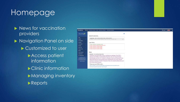### Homepage



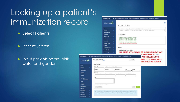## Looking up a patient's immunization reco

Select Patients

**Patient Search** 

**Input patients name, birth** date, and gender

|                            | <b>ShowMeVax</b>                                |                         | <b>O FEMA CVC AMERICA CENTER, FEMA-CVC AMERICAS CENTER, CV5000 Q PATIENT SEARCH</b>                                                                                                    |
|----------------------------|-------------------------------------------------|-------------------------|----------------------------------------------------------------------------------------------------------------------------------------------------------------------------------------|
|                            | ShowMe                                          |                         |                                                                                                                                                                                        |
|                            |                                                 |                         | Default Provider/Clinic                                                                                                                                                                |
|                            | Home                                            |                         | ProvidenClinic: FEMA CVC AMERICA CENTER, FEMA- CVC AMERICAS CENTER.                                                                                                                    |
|                            | Patients                                        |                         | SELECT A CLINIC BY TYPING BROWINGS, CLINIC, WPC FIR, ON CLINIC CODE                                                                                                                    |
|                            | <b>Immunications</b>                            |                         |                                                                                                                                                                                        |
|                            | Education                                       |                         | Login History                                                                                                                                                                          |
|                            | IZ Quick Add                                    | n                       | 5/24/2021 3:28:33 PM - SUCCESSFUL LOBIN<br>5/27/2021 1:40 06 PM - SUCCESSFUL LOGIN                                                                                                     |
|                            | Inventory<br><b>Clinic Tools</b>                |                         | SQM2021 4:11:05 PM - BUCCESSFUL LOGIN<br>5/26/21/21 2:31:31 PM - SUCCESSIFUL LOGIN                                                                                                     |
|                            | Program Tools.                                  |                         | 5/14/2021 12:14:20 PM - BUCCESSFLIL LOGIN<br>5/14/2021 12:14:07 PM - INVALID PASSINGRD                                                                                                 |
|                            | <b>Reports</b>                                  |                         |                                                                                                                                                                                        |
|                            | VTickS Interface:                               | ٠                       | <b>News</b>                                                                                                                                                                            |
|                            | Administration                                  |                         | [05/28/2021] - State Offices Closed                                                                                                                                                    |
|                            | HL7 Management                                  |                         | ALL STATE OFFICES WILL BE CLOSED MONDAY MAY                                                                                                                                            |
|                            |                                                 |                         | <b>JE HELPDESK AT vfc-</b><br>9 FEMA CVC AMERICA CENTER, FEMA- CVC AMERICAS CENTER, CV8001 94 PATIENT SEARCH<br><b>AND INCLUDE YOUR</b><br><b>FACILITY IF APPLICABLE.</b><br>D Links = |
| Patient Search<br>ShowMe S |                                                 |                         | <b>AILS WHEN WE RETURN.</b>                                                                                                                                                            |
| Search Criteria            |                                                 |                         |                                                                                                                                                                                        |
| Fattest (D.                | Identifier Type<br>×                            | <b>Identifier Value</b> |                                                                                                                                                                                        |
| LastName                   | First Name                                      |                         | Middle Name<br>DOM:<br>Genzer<br>MWDD/YYYY 图<br>v                                                                                                                                      |
| Birth Info.                |                                                 |                         |                                                                                                                                                                                        |
| Meltier Last fearns        | Mother First Name                               |                         | Mether Middle Name<br><b>Mother Maiden Name</b>                                                                                                                                        |
| Tags                       |                                                 |                         |                                                                                                                                                                                        |
| <b>Contraindicutions</b>   |                                                 |                         |                                                                                                                                                                                        |
|                            |                                                 |                         |                                                                                                                                                                                        |
|                            | York: Hold the Col key to select realizes terms |                         |                                                                                                                                                                                        |
| Previous Criteria          |                                                 |                         | Clear                                                                                                                                                                                  |
|                            |                                                 |                         |                                                                                                                                                                                        |
|                            |                                                 |                         | lafo: To minister the creation of stationer and art in the loantification of subbog signifiates, please inhany seems for                                                               |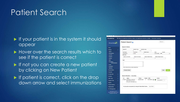#### Patient Search

- If your patient is in the system it should appear
- Hover over the search results which to see if the patient is correct
- If not you can create a new patient by clicking on New Patient
- If patient is correct, click on the drop down arrow and select immunizations

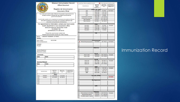|                         |             |                                                                            |                          | <b>Missouri Immunization Record</b>                                             |                         | = Invalid Dose. Minimum age/interval not met. |                                                 | $\oslash$ = Dose determined invalid by provider |                                              |
|-------------------------|-------------|----------------------------------------------------------------------------|--------------------------|---------------------------------------------------------------------------------|-------------------------|-----------------------------------------------|-------------------------------------------------|-------------------------------------------------|----------------------------------------------|
|                         |             |                                                                            | <b>Official Document</b> |                                                                                 |                         | Vaccine/Vacuna                                | Date Given<br>Dada en la<br>Fecha<br>MM/DD/YYYY | Age at Imm.<br>Edad Cuando<br>learn.            | Date Next Due<br>Proxima Vacuna<br>MMDD/YYYY |
|                         |             |                                                                            | Registro de Inmunizacion |                                                                                 |                         |                                               | DTaP / TD / Tdap                                |                                                 |                                              |
|                         |             |                                                                            | Documento Oficial        |                                                                                 |                         | DTP                                           | 04/16/1968                                      | 0Y 2M 6D                                        | 06/13/2021                                   |
|                         |             |                                                                            |                          |                                                                                 | $\overline{2}$          | DTP                                           | 05/28/1968                                      | 0Y 3M 18D                                       |                                              |
|                         |             | Your child must meet the state of Missouri immunization requirements to be |                          |                                                                                 | 3                       | DTP                                           | 07/09/1968                                      | 0Y 4M 29D                                       |                                              |
|                         |             | enrolled in school or licensed day care. Retain this document as           |                          |                                                                                 | $\overline{4}$          | <b>DTP</b>                                    | 08/16/1969                                      | 1Y 6M 6D                                        |                                              |
|                         |             | proof of immunizations.                                                    |                          |                                                                                 | $\overline{5}$          | Td.(Adult/Ped) adsorbed                       | 06/09/1986                                      | 18Y 3M 30D                                      |                                              |
|                         |             |                                                                            |                          |                                                                                 | $\overline{6}$          | Td.(Adult/Ped) adsorbed                       | 01/06/2004                                      | 35Y 10M 27D                                     |                                              |
|                         |             |                                                                            |                          | Su niño debe cumplir con los requisitos de inmunizacion del estado de Missouri, | 7                       | Tdap, Adsorbed                                | 01/01/2011                                      | 42Y 10M 22D                                     |                                              |
|                         |             | para poder inscribirse en la escuela o en la guardería. Retengan este      |                          |                                                                                 | $\overline{8}$          | Tdap, Adsorbed                                | 06/13/2011                                      | 43Y 4M 3D                                       |                                              |
|                         |             | documento como prueba de inmunizaciones.                                   |                          |                                                                                 | g                       |                                               |                                                 |                                                 |                                              |
|                         |             |                                                                            |                          | For appointment or information, contact your local county                       |                         |                                               | Polio                                           |                                                 |                                              |
|                         |             | health department or your physician's office.                              |                          |                                                                                 | ï                       | Polio-OPV                                     | 04/16/1968                                      | 0Y 2M 6D                                        | Complete                                     |
|                         |             | MISSOURI MEDICAL RESPONSE TEAM                                             |                          |                                                                                 | $\overline{2}$          | Polio-OPV                                     | 05/28/1968                                      | 0Y 3M 18D                                       |                                              |
|                         |             |                                                                            |                          |                                                                                 | $\overline{\mathbf{3}}$ | Polio-OPV                                     | 07/09/1968                                      | 0Y 4M 29D                                       |                                              |
|                         |             | 754 MODOT DR                                                               |                          |                                                                                 | $\overline{4}$          | Polio-OPV                                     | 08/16/1969                                      | 1Y 6M 6D                                        |                                              |
|                         |             | JEFFERSON CITY, MO 65101                                                   |                          |                                                                                 | 5                       |                                               |                                                 |                                                 |                                              |
|                         |             | Present this record at each medical visit.                                 |                          |                                                                                 |                         |                                               | <b>Hib</b>                                      |                                                 |                                              |
|                         |             | Presente este documento durante sus visitas medicas.                       |                          |                                                                                 | 1                       |                                               |                                                 |                                                 |                                              |
| Name/                   |             | LANA KAY HUDANICK (3113637)                                                |                          |                                                                                 | $\overline{2}$          |                                               |                                                 |                                                 |                                              |
|                         |             |                                                                            |                          |                                                                                 | $\overline{3}$          |                                               |                                                 |                                                 |                                              |
| Nombre:                 |             |                                                                            |                          |                                                                                 | 4                       |                                               |                                                 |                                                 |                                              |
| Date of Birth/          |             | 02/10/1968                                                                 |                          |                                                                                 |                         |                                               | Pneumococcal                                    |                                                 |                                              |
| Fecha de Nacimiento:    |             |                                                                            |                          |                                                                                 | 1                       | PPV23 (Pneumococcal 23)                       | 03/12/2020                                      | 52Y 1M 2D                                       | 02/10/2033                                   |
|                         |             |                                                                            |                          |                                                                                 | $\overline{2}$          |                                               |                                                 |                                                 |                                              |
| <b>Allergies/</b>       |             |                                                                            |                          |                                                                                 | $\overline{\mathbf{3}}$ |                                               |                                                 |                                                 |                                              |
| Alergias:               |             |                                                                            |                          |                                                                                 | 4                       |                                               |                                                 |                                                 |                                              |
|                         |             |                                                                            |                          |                                                                                 |                         |                                               | <b>Rotavirus</b>                                |                                                 |                                              |
|                         |             |                                                                            |                          |                                                                                 | 1                       |                                               |                                                 |                                                 |                                              |
| Vaccine Reactions/      |             |                                                                            |                          |                                                                                 | $\overline{2}$          |                                               |                                                 |                                                 |                                              |
| Reacciones contra:      |             |                                                                            |                          |                                                                                 | $\overline{3}$          |                                               |                                                 |                                                 |                                              |
|                         |             |                                                                            |                          |                                                                                 |                         |                                               | <b>Hep A</b>                                    |                                                 |                                              |
| <b>Comments</b>         |             |                                                                            |                          |                                                                                 | 1                       | Hep A, Adult                                  | 04/02/2004                                      | 36Y 1M 23D                                      | Complete                                     |
| Date                    | <b>Note</b> |                                                                            |                          |                                                                                 | $\overline{2}$          | Hep A, Adult                                  | 10/05/2004                                      | 36Y 7M 25D                                      |                                              |
|                         |             |                                                                            |                          |                                                                                 |                         |                                               |                                                 |                                                 |                                              |
|                         |             |                                                                            |                          |                                                                                 |                         |                                               | <b>Hep B</b>                                    |                                                 |                                              |
| <b>Vaccines Refused</b> |             |                                                                            |                          |                                                                                 | 1                       | Hep B, UF                                     | 08/11/1992                                      | 24Y 6M 1D                                       | Complete                                     |
|                         |             |                                                                            |                          |                                                                                 | $\overline{2}$          | Hep B, UF                                     | 09/11/1992                                      | 24Y 7M 1D                                       |                                              |
| Date                    | Note        |                                                                            |                          |                                                                                 | $\overline{3}$          | Hep B, UF                                     | 04/08/1993                                      | 25Y 1M 29D                                      |                                              |
|                         |             |                                                                            |                          |                                                                                 | $\overline{4}$          |                                               |                                                 |                                                 |                                              |
|                         |             |                                                                            |                          |                                                                                 |                         |                                               | <b>MMR</b>                                      |                                                 |                                              |
|                         |             |                                                                            |                          |                                                                                 | $\overline{\mathbf{1}}$ | Mumps                                         | 05/26/1989                                      | 1Y 3M 16D                                       | Complete                                     |
|                         |             | Date Given                                                                 | Age at Imm.              | Date Next Due                                                                   | $\overline{2}$          | Measles                                       | 12/22/1969                                      | 1Y 10M 12D                                      |                                              |
| Vaccine/Vacuna          |             | Dada en la<br>Fecha.                                                       | Edad Cuando<br>inm       | Proxima Vacuna<br><b>MM/DD/YYYY</b>                                             | $\overline{\mathbf{3}}$ | Rubella                                       | 10/26/1970                                      | 2Y 8M 16D                                       |                                              |
|                         |             | <b>MM/DD/YYYY</b>                                                          |                          |                                                                                 | 4                       | <b>MMR</b>                                    | 08/15/1990                                      | 22Y 6M 5D                                       |                                              |
|                         |             | Other                                                                      |                          |                                                                                 | $\overline{5}$          |                                               |                                                 |                                                 |                                              |
| 1                       | Smallpox    | 07/09/1968                                                                 | DY 4M 29D                |                                                                                 |                         |                                               | Varicella (CPOX                                 |                                                 |                                              |
| $\overline{\mathbf{z}}$ | Smallpox    | 02/15/2003                                                                 | 35Y 0M 5D                |                                                                                 | 1                       |                                               |                                                 |                                                 | 03/15/2003                                   |
| $\overline{\mathbf{3}}$ |             |                                                                            |                          |                                                                                 | $\overline{2}$          |                                               |                                                 |                                                 |                                              |
| $\overline{4}$          |             |                                                                            |                          |                                                                                 |                         |                                               | Meningococcal                                   |                                                 |                                              |
| 5                       |             |                                                                            |                          |                                                                                 | $\mathbf{1}$            |                                               |                                                 |                                                 |                                              |
| 6                       |             |                                                                            |                          |                                                                                 | $\overline{2}$          |                                               |                                                 |                                                 |                                              |
|                         |             |                                                                            |                          |                                                                                 |                         |                                               |                                                 |                                                 |                                              |
|                         |             |                                                                            |                          |                                                                                 |                         |                                               | <b>HPV</b>                                      |                                                 |                                              |
|                         |             |                                                                            |                          |                                                                                 |                         |                                               |                                                 |                                                 |                                              |
|                         |             |                                                                            |                          |                                                                                 | $\overline{2}$          |                                               |                                                 |                                                 |                                              |
|                         |             |                                                                            |                          |                                                                                 | $\mathbf s$             |                                               |                                                 |                                                 |                                              |
|                         |             |                                                                            |                          |                                                                                 |                         |                                               | Influenza                                       |                                                 |                                              |
|                         |             |                                                                            |                          |                                                                                 | 1                       | InfluenzaQuad Inj P 6+MOS                     | 09/29/2020                                      | 52Y 7M 19D                                      | Complete                                     |
|                         |             |                                                                            |                          |                                                                                 | $\overline{2}$          | Influenza Quad W/Pres                         | 01/05/2020                                      | 51Y 10M 26D                                     |                                              |
|                         |             |                                                                            |                          |                                                                                 | $\overline{3}$          | Flu MDCK Quad P-Free Inj                      | 10/02/2018                                      | 50Y 7M 22D                                      |                                              |

#### Immunization Record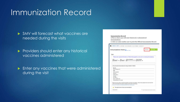### Immunization Record

 SMV will forecast what vaccines are needed during the visits

Providers should enter any historical vaccines administered

**Enter any vaccines that were administered** during the visit

#### **Immunization Record** 4.This is where you will enter historical or administered immunizations. 5. Click on Links enables user to print the Official Immunization Record. DEMO, SMV in 1977289 DOI: 01/01/2018 AGE 3Y 3W40 ODIGER F Immunizations Home **D** Links View Please enter required information on Patient Demographics acreem prior to entering immunizations History of Variously? Date of Vericela 01/05/2018 B [3V 3M 4D WAITOWYYK IN (2) Recommended Immunizations for today, 4/5/2021 (3V 38) 406 Vaccine PCVS3 (Preynant 53) **LAUGH Hen R. padlado** Page Hry **DTaRcotaess Melindia** HID (PRP-T) High A. pediadol 20 Influenza Quastro: # 4-MOS Rease do not my solely an the Recommendar to firecast immunizations. Utilize climical judgewell and consult both the ACIP recommended immunization schedules and the COC Post Book @ http://www.cctc.gov/kaccznes/but/u/phodosok/mdex.htmpkchapters This patient does not have any immunizations Recomment. D Auto-Papulate Add Vaccess Screen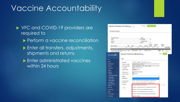### Vaccine Accountability

▶ VFC and COVID-19 providers are required to

- **Perform a vaccine reconciliation**
- **Enter all transfers, adjustments,** shipments and returns
- **Enter administrated vaccines** within 24 hours

|                                                                                                                                                             |                                                                                                                                                   | Vaccine Inventory On-Hand <b>BLant Ware</b>                                                                                                                                                                                                                                                            |
|-------------------------------------------------------------------------------------------------------------------------------------------------------------|---------------------------------------------------------------------------------------------------------------------------------------------------|--------------------------------------------------------------------------------------------------------------------------------------------------------------------------------------------------------------------------------------------------------------------------------------------------------|
| On-Hand Inventory                                                                                                                                           |                                                                                                                                                   |                                                                                                                                                                                                                                                                                                        |
| Inventory Location<br>(ALL)<br>Vaccine<br>(ALL)<br>Vaccine (Mrand)<br>CV0096 PROVIDER IV.ST SITE (Appropriate Rep<br>/193 x 6.00 Smit /done) AIOVI/         | <b>Mfg</b><br>$\alpha$<br>Q<br>seis<br>COVID-19 mRNA (PFR) (Play COVID-19 PFR                                                                     | Status<br>v ON-HAND<br>٧<br><b>Funding Source</b><br>$~\vee$ IALL)<br>v<br>Doses Oil-<br>Exprmg<br>Funding<br><b>INDC</b><br>Hand<br><b>Spon</b><br>Lot No.<br>Exp Date Source<br>×<br>ä<br>a<br><b>Clear Fiters</b><br>a<br>a<br>O<br>56267-1000-02<br>1234<br>05/06/2021 PAN<br># 0<br>⊛<br>Acture + |
| Showi Me                                                                                                                                                    |                                                                                                                                                   | Cancel<br>Vaccine Inventory Adjustment                                                                                                                                                                                                                                                                 |
| Hame                                                                                                                                                        | Add                                                                                                                                               |                                                                                                                                                                                                                                                                                                        |
| Patients                                                                                                                                                    |                                                                                                                                                   |                                                                                                                                                                                                                                                                                                        |
| mmunizations<br>Education<br>Z Quick Add<br>е<br>mventory<br><b>Vaccines</b><br>On-Rand                                                                     | Date/Time *<br>Inventory Location"<br>Vaccine   Mfg   NDC *<br>Lot Number*<br>Expiration Date *<br>Funding Source <sup>®</sup><br>Doses On-Hand * | MAIDDAYYYY 图<br>HHMLMEN (HHMLAP)<br>CV0000 PROVIDER TEST SITE<br>COVID-19 MRNA (PFR)   PFR   59267-1000-02<br>1234<br>區<br>05/05/2021<br>PAN<br>98                                                                                                                                                     |
| <b>Electronic Decrementing</b><br>Reconciliation<br>Vaccine Orders<br><b>Vaccine Returns</b><br><b>Flu Prebook</b><br><b>Vaccine Shipments</b><br>Locations | Reason *<br>Modification *<br>Doses Adjusted "<br>Container Id<br>Comments                                                                        | ŵ<br>EXTRA - SUBTRACT (DUPLICATE ENTRIES, CORRECTIONS)<br>EXTRA - ADD (EXTRA DOSES PER VIAL, CORRECTIONS)<br>VTROKS - BROKEN VIAL/SYRINGE                                                                                                                                                              |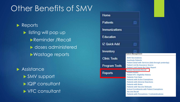### Other Benefits of SMV

Reports **In the listing will pop up** Reminder /Recall doses administered Wastage reports

**Assistance**  SMV support IQIP consultant VFC consultant

| Home                 |                                                                                                                                                                                                                                                                                               |
|----------------------|-----------------------------------------------------------------------------------------------------------------------------------------------------------------------------------------------------------------------------------------------------------------------------------------------|
| <b>Patients</b>      |                                                                                                                                                                                                                                                                                               |
| <b>Immunizations</b> |                                                                                                                                                                                                                                                                                               |
| <b>Education</b>     |                                                                                                                                                                                                                                                                                               |
| IZ Quick Add         |                                                                                                                                                                                                                                                                                               |
| Inventory            | Patient Management                                                                                                                                                                                                                                                                            |
| <b>Clinic Tools</b>  | <b>Birth Vaccinations</b><br><b>Inactivate Patients</b>                                                                                                                                                                                                                                       |
| <b>Program Tools</b> | Patient Detail with Services (data through yesterday)<br><b>Patient List By Insurance Source</b><br>Patient List/Counts By Clinic Report                                                                                                                                                      |
| <b>Reports</b>       | <b>Patient Reminder/Recall</b><br><b>Patient Roster</b><br><b>Patient VFC Eligibility History</b><br><b>Patients First Seen</b>                                                                                                                                                               |
|                      | <b>Patients with Active Exemptions</b><br><b>Patients with Adverse Reactions</b><br><b>Patients with Notes</b><br><b>Patients with Vaccine Refusals</b><br><b>School Enrollments with Patient Exemptions</b><br><b>Vaccine Recall</b><br><b>Patients with Precautions / Contraindications</b> |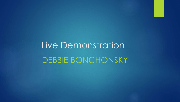Live Demonstration DEBBIE BONCHONSKY